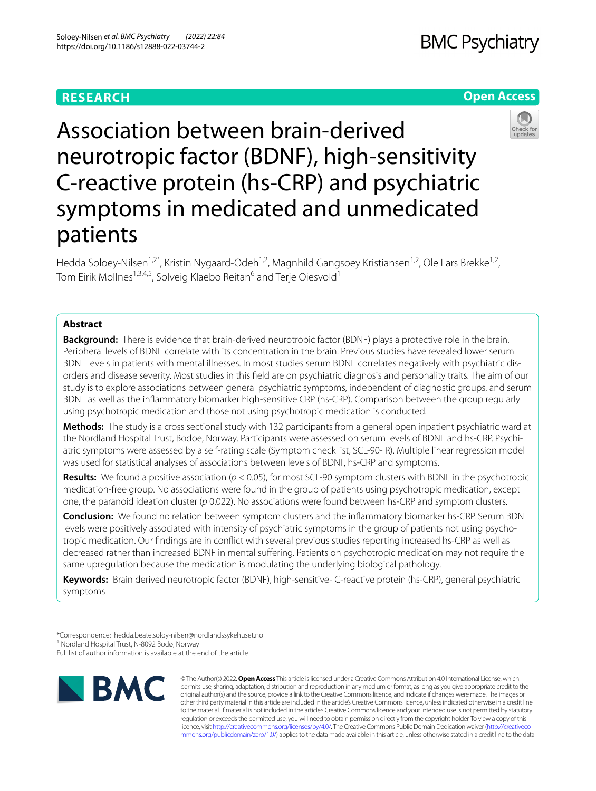# **RESEARCH**

# **BMC Psychiatry**

## **Open Access**



Association between brain-derived neurotropic factor (BDNF), high-sensitivity C-reactive protein (hs-CRP) and psychiatric symptoms in medicated and unmedicated patients

Hedda Soloey-Nilsen<sup>1,2\*</sup>, Kristin Nygaard-Odeh<sup>1,2</sup>, Magnhild Gangsoey Kristiansen<sup>1,2</sup>, Ole Lars Brekke<sup>1,2</sup>, Tom Eirik Mollnes<sup>1,3,4,5</sup>, Solveig Klaebo Reitan<sup>6</sup> and Terje Oiesvold<sup>1</sup>

## **Abstract**

**Background:** There is evidence that brain-derived neurotropic factor (BDNF) plays a protective role in the brain. Peripheral levels of BDNF correlate with its concentration in the brain. Previous studies have revealed lower serum BDNF levels in patients with mental illnesses. In most studies serum BDNF correlates negatively with psychiatric dis‑ orders and disease severity. Most studies in this feld are on psychiatric diagnosis and personality traits. The aim of our study is to explore associations between general psychiatric symptoms, independent of diagnostic groups, and serum BDNF as well as the infammatory biomarker high-sensitive CRP (hs-CRP). Comparison between the group regularly using psychotropic medication and those not using psychotropic medication is conducted.

**Methods:** The study is a cross sectional study with 132 participants from a general open inpatient psychiatric ward at the Nordland Hospital Trust, Bodoe, Norway. Participants were assessed on serum levels of BDNF and hs-CRP. Psychiatric symptoms were assessed by a self-rating scale (Symptom check list, SCL-90- R). Multiple linear regression model was used for statistical analyses of associations between levels of BDNF, hs-CRP and symptoms.

**Results:** We found a positive association (*p* < 0.05), for most SCL-90 symptom clusters with BDNF in the psychotropic medication-free group. No associations were found in the group of patients using psychotropic medication, except one, the paranoid ideation cluster (*p* 0.022). No associations were found between hs-CRP and symptom clusters.

**Conclusion:** We found no relation between symptom clusters and the infammatory biomarker hs-CRP. Serum BDNF levels were positively associated with intensity of psychiatric symptoms in the group of patients not using psychotropic medication. Our fndings are in confict with several previous studies reporting increased hs-CRP as well as decreased rather than increased BDNF in mental sufering. Patients on psychotropic medication may not require the same upregulation because the medication is modulating the underlying biological pathology.

**Keywords:** Brain derived neurotropic factor (BDNF), high-sensitive- C-reactive protein (hs-CRP), general psychiatric symptoms

1 Nordland Hospital Trust, N‑8092 Bodø, Norway

Full list of author information is available at the end of the article



© The Author(s) 2022. **Open Access** This article is licensed under a Creative Commons Attribution 4.0 International License, which permits use, sharing, adaptation, distribution and reproduction in any medium or format, as long as you give appropriate credit to the original author(s) and the source, provide a link to the Creative Commons licence, and indicate if changes were made. The images or other third party material in this article are included in the article's Creative Commons licence, unless indicated otherwise in a credit line to the material. If material is not included in the article's Creative Commons licence and your intended use is not permitted by statutory regulation or exceeds the permitted use, you will need to obtain permission directly from the copyright holder. To view a copy of this licence, visit [http://creativecommons.org/licenses/by/4.0/.](http://creativecommons.org/licenses/by/4.0/) The Creative Commons Public Domain Dedication waiver ([http://creativeco](http://creativecommons.org/publicdomain/zero/1.0/) [mmons.org/publicdomain/zero/1.0/](http://creativecommons.org/publicdomain/zero/1.0/)) applies to the data made available in this article, unless otherwise stated in a credit line to the data.

<sup>\*</sup>Correspondence: hedda.beate.soloy-nilsen@nordlandssykehuset.no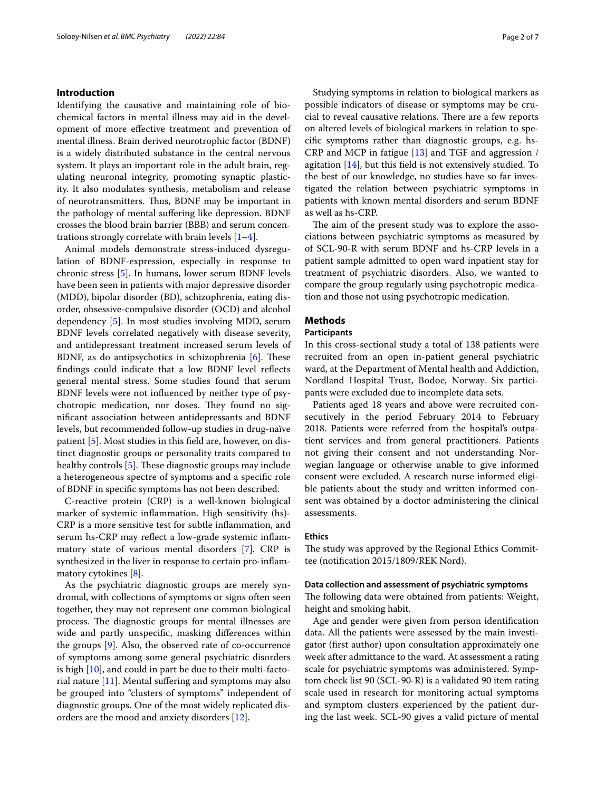## **Introduction**

Identifying the causative and maintaining role of biochemical factors in mental illness may aid in the development of more efective treatment and prevention of mental illness. Brain derived neurotrophic factor (BDNF) is a widely distributed substance in the central nervous system. It plays an important role in the adult brain, regulating neuronal integrity, promoting synaptic plasticity. It also modulates synthesis, metabolism and release of neurotransmitters. Thus, BDNF may be important in the pathology of mental sufering like depression. BDNF crosses the blood brain barrier (BBB) and serum concentrations strongly correlate with brain levels  $[1-4]$  $[1-4]$ .

Animal models demonstrate stress-induced dysregulation of BDNF-expression, especially in response to chronic stress [\[5](#page-6-2)]. In humans, lower serum BDNF levels have been seen in patients with major depressive disorder (MDD), bipolar disorder (BD), schizophrenia, eating disorder, obsessive-compulsive disorder (OCD) and alcohol dependency [[5\]](#page-6-2). In most studies involving MDD, serum BDNF levels correlated negatively with disease severity, and antidepressant treatment increased serum levels of BDNF, as do antipsychotics in schizophrenia  $[6]$  $[6]$ . These fndings could indicate that a low BDNF level refects general mental stress. Some studies found that serum BDNF levels were not infuenced by neither type of psychotropic medication, nor doses. They found no signifcant association between antidepressants and BDNF levels, but recommended follow-up studies in drug-naïve patient [[5\]](#page-6-2). Most studies in this feld are, however, on distinct diagnostic groups or personality traits compared to healthy controls  $[5]$  $[5]$ . These diagnostic groups may include a heterogeneous spectre of symptoms and a specifc role of BDNF in specifc symptoms has not been described.

C-reactive protein (CRP) is a well-known biological marker of systemic infammation. High sensitivity (hs)- CRP is a more sensitive test for subtle infammation, and serum hs-CRP may refect a low-grade systemic infammatory state of various mental disorders [[7\]](#page-6-4)*.* CRP is synthesized in the liver in response to certain pro-infammatory cytokines [\[8\]](#page-6-5).

As the psychiatric diagnostic groups are merely syndromal, with collections of symptoms or signs often seen together, they may not represent one common biological process. The diagnostic groups for mental illnesses are wide and partly unspecifc, masking diferences within the groups [\[9](#page-6-6)]. Also, the observed rate of co-occurrence of symptoms among some general psychiatric disorders is high [\[10](#page-6-7)], and could in part be due to their multi-facto-rial nature [[11\]](#page-6-8). Mental suffering and symptoms may also be grouped into "clusters of symptoms" independent of diagnostic groups. One of the most widely replicated disorders are the mood and anxiety disorders [[12](#page-6-9)].

Studying symptoms in relation to biological markers as possible indicators of disease or symptoms may be crucial to reveal causative relations. There are a few reports on altered levels of biological markers in relation to specifc symptoms rather than diagnostic groups, e.g. hs-CRP and MCP in fatigue [[13](#page-6-10)] and TGF and aggression / agitation [[14\]](#page-6-11), but this feld is not extensively studied. To the best of our knowledge, no studies have so far investigated the relation between psychiatric symptoms in patients with known mental disorders and serum BDNF as well as hs-CRP.

The aim of the present study was to explore the associations between psychiatric symptoms as measured by of SCL-90-R with serum BDNF and hs-CRP levels in a patient sample admitted to open ward inpatient stay for treatment of psychiatric disorders. Also, we wanted to compare the group regularly using psychotropic medication and those not using psychotropic medication.

## **Methods**

## **Participants**

In this cross-sectional study a total of 138 patients were recruited from an open in-patient general psychiatric ward, at the Department of Mental health and Addiction, Nordland Hospital Trust, Bodoe, Norway. Six participants were excluded due to incomplete data sets.

Patients aged 18 years and above were recruited consecutively in the period February 2014 to February 2018. Patients were referred from the hospital's outpatient services and from general practitioners. Patients not giving their consent and not understanding Norwegian language or otherwise unable to give informed consent were excluded. A research nurse informed eligible patients about the study and written informed consent was obtained by a doctor administering the clinical assessments.

#### **Ethics**

The study was approved by the Regional Ethics Committee (notifcation 2015/1809/REK Nord).

### **Data collection and assessment of psychiatric symptoms**

The following data were obtained from patients: Weight, height and smoking habit.

Age and gender were given from person identifcation data. All the patients were assessed by the main investigator (frst author) upon consultation approximately one week after admittance to the ward. At assessment a rating scale for psychiatric symptoms was administered. Symptom check list 90 (SCL-90-R) is a validated 90 item rating scale used in research for monitoring actual symptoms and symptom clusters experienced by the patient during the last week. SCL-90 gives a valid picture of mental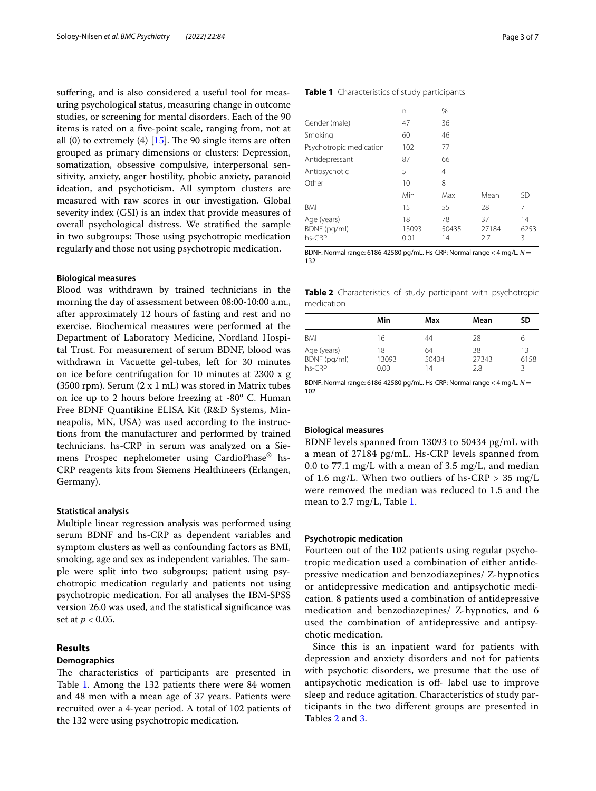suffering, and is also considered a useful tool for measuring psychological status, measuring change in outcome studies, or screening for mental disorders. Each of the 90 items is rated on a fve-point scale, ranging from, not at all  $(0)$  to extremely  $(4)$  [\[15\]](#page-6-12). The 90 single items are often grouped as primary dimensions or clusters: Depression, somatization, obsessive compulsive, interpersonal sensitivity, anxiety, anger hostility, phobic anxiety, paranoid ideation, and psychoticism. All symptom clusters are measured with raw scores in our investigation. Global severity index (GSI) is an index that provide measures of overall psychological distress. We stratifed the sample in two subgroups: Those using psychotropic medication regularly and those not using psychotropic medication.

## **Biological measures**

Blood was withdrawn by trained technicians in the morning the day of assessment between 08:00-10:00 a.m., after approximately 12 hours of fasting and rest and no exercise. Biochemical measures were performed at the Department of Laboratory Medicine, Nordland Hospital Trust. For measurement of serum BDNF, blood was withdrawn in Vacuette gel-tubes, left for 30 minutes on ice before centrifugation for 10 minutes at 2300 x g (3500 rpm). Serum (2 x 1 mL) was stored in Matrix tubes on ice up to 2 hours before freezing at -80° C. Human Free BDNF Quantikine ELISA Kit (R&D Systems, Minneapolis, MN, USA) was used according to the instructions from the manufacturer and performed by trained technicians. hs-CRP in serum was analyzed on a Siemens Prospec nephelometer using CardioPhase® hs-CRP reagents kits from Siemens Healthineers (Erlangen, Germany).

## **Statistical analysis**

Multiple linear regression analysis was performed using serum BDNF and hs-CRP as dependent variables and symptom clusters as well as confounding factors as BMI, smoking, age and sex as independent variables. The sample were split into two subgroups; patient using psychotropic medication regularly and patients not using psychotropic medication. For all analyses the IBM-SPSS version 26.0 was used, and the statistical signifcance was set at *p* < 0.05.

## **Results**

## **Demographics**

The characteristics of participants are presented in Table [1](#page-2-0). Among the 132 patients there were 84 women and 48 men with a mean age of 37 years. Patients were recruited over a 4-year period. A total of 102 patients of the 132 were using psychotropic medication.

|                         | n   | %  |
|-------------------------|-----|----|
| Gender (male)           | 47  | 36 |
| Smoking                 | 60  | 46 |
| Psychotropic medication | 102 | 77 |
| Antidepressant          | 87  | 66 |
| Antipsychotic           | 5   | 4  |
| Other                   | 10  | 8  |
|                         |     |    |

<span id="page-2-0"></span>**Table 1** Characteristics of study participants

| VUIT                                  | $\cdots$            |                   |                   |                 |
|---------------------------------------|---------------------|-------------------|-------------------|-----------------|
|                                       | Min                 | Max               | Mean              | SD              |
| BMI                                   | 15                  | 55                | 28                |                 |
| Age (years)<br>BDNF (pg/ml)<br>hs-CRP | 18<br>13093<br>0.01 | 78<br>50435<br>14 | 37<br>27184<br>27 | 14<br>6253<br>ર |

BDNF: Normal range: 6186-42580 pg/mL. Hs-CRP: Normal range < 4 mg/L. *N* = 132

<span id="page-2-1"></span>**Table 2** Characteristics of study participant with psychotropic medication

|                                       | Min                 | Max               | Mean               | SD              |
|---------------------------------------|---------------------|-------------------|--------------------|-----------------|
| BMI                                   | 16                  | 44                | 28                 | 6               |
| Age (years)<br>BDNF (pg/ml)<br>hs-CRP | 18<br>13093<br>0.00 | 64<br>50434<br>14 | 38<br>27343<br>2.8 | 13<br>6158<br>ζ |

BDNF: Normal range: 6186-42580 pg/mL. Hs-CRP: Normal range < 4 mg/L. *N* = 102

## **Biological measures**

BDNF levels spanned from 13093 to 50434 pg/mL with a mean of 27184 pg/mL. Hs-CRP levels spanned from 0.0 to 77.1 mg/L with a mean of 3.5 mg/L, and median of 1.6 mg/L. When two outliers of hs-CRP  $> 35$  mg/L were removed the median was reduced to 1.5 and the mean to 2.7 mg/L, Table [1](#page-2-0).

#### **Psychotropic medication**

Fourteen out of the 102 patients using regular psychotropic medication used a combination of either antidepressive medication and benzodiazepines/ Z-hypnotics or antidepressive medication and antipsychotic medication. 8 patients used a combination of antidepressive medication and benzodiazepines/ Z-hypnotics, and 6 used the combination of antidepressive and antipsychotic medication.

Since this is an inpatient ward for patients with depression and anxiety disorders and not for patients with psychotic disorders, we presume that the use of antipsychotic medication is off- label use to improve sleep and reduce agitation. Characteristics of study participants in the two diferent groups are presented in Tables [2](#page-2-1) and [3.](#page-3-0)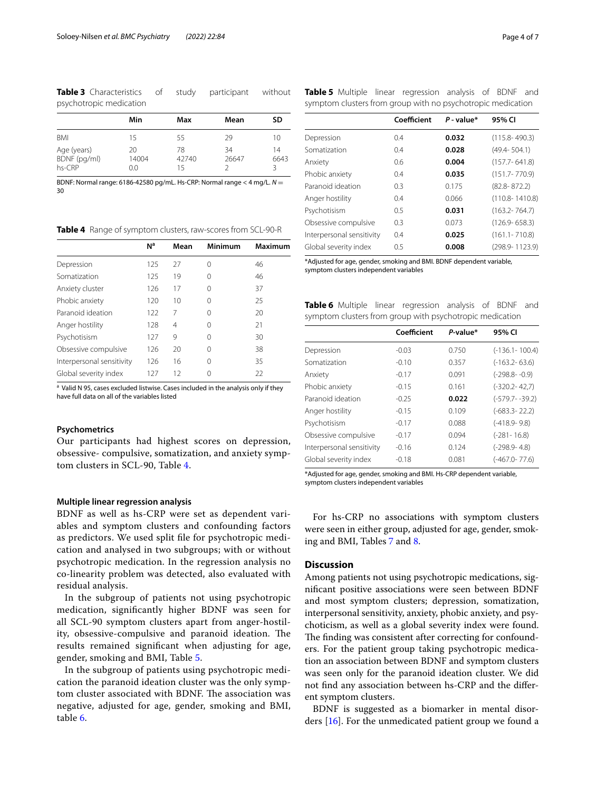<span id="page-3-0"></span>**Table 3** Characteristics of study participant without psychotropic medication

|                                         | Min                | Max               | Mean        | SD         |
|-----------------------------------------|--------------------|-------------------|-------------|------------|
| <b>BMI</b>                              | 15                 | 55                | 29          | 10         |
| Age (years)<br>BDNF (pg/ml)<br>$hs-CRP$ | 20<br>14004<br>0.0 | 78<br>42740<br>15 | 34<br>26647 | 14<br>6643 |

BDNF: Normal range: 6186-42580 pg/mL. Hs-CRP: Normal range < 4 mg/L. *N* = 30

<span id="page-3-1"></span>**Table 4** Range of symptom clusters, raw-scores from SCL-90-R

<span id="page-3-2"></span>**Table 5** Multiple linear regression analysis of BDNF and symptom clusters from group with no psychotropic medication

|                           | Coefficient | $P$ -value* | 95% CI             |
|---------------------------|-------------|-------------|--------------------|
| Depression                | 0.4         | 0.032       | $(115.8 - 490.3)$  |
| Somatization              | 0.4         | 0.028       | $(49.4 - 504.1)$   |
| Anxiety                   | 0.6         | 0.004       | $(157.7 - 641.8)$  |
| Phobic anxiety            | 0.4         | 0.035       | $(151.7 - 770.9)$  |
| Paranoid ideation         | 0.3         | 0.175       | $(82.8 - 872.2)$   |
| Anger hostility           | 0.4         | 0.066       | $(110.8 - 1410.8)$ |
| Psychotisism              | 0.5         | 0.031       | $(163.2 - 764.7)$  |
| Obsessive compulsive      | 0.3         | 0.073       | $(126.9 - 658.3)$  |
| Interpersonal sensitivity | 0.4         | 0.025       | $(161.1 - 710.8)$  |
| Global severity index     | 0.5         | 0.008       | (298.9-1123.9)     |

\*Adjusted for age, gender, smoking and BMI. BDNF dependent variable, symptom clusters independent variables

|                           | N <sup>a</sup> | Mean | Minimum | Maximum |
|---------------------------|----------------|------|---------|---------|
| Depression                | 125            | 27   | 0       | 46      |
| Somatization              | 125            | 19   | 0       | 46      |
| Anxiety cluster           | 126            | 17   | 0       | 37      |
| Phobic anxiety            | 120            | 10   | 0       | 25      |
| Paranoid ideation         | 122            | 7    | 0       | 20      |
| Anger hostility           | 128            | 4    | 0       | 21      |
| Psychotisism              | 127            | 9    | 0       | 30      |
| Obsessive compulsive      | 126            | 20   | 0       | 38      |
| Interpersonal sensitivity | 126            | 16   | 0       | 35      |
| Global severity index     | 127            | 12   | Ω       | 22      |
|                           |                |      |         |         |

<sup>a</sup> Valid N 95, cases excluded listwise. Cases included in the analysis only if they have full data on all of the variables listed

## **Psychometrics**

Our participants had highest scores on depression, obsessive- compulsive, somatization, and anxiety symptom clusters in SCL-90, Table [4.](#page-3-1)

## **Multiple linear regression analysis**

BDNF as well as hs-CRP were set as dependent variables and symptom clusters and confounding factors as predictors. We used split fle for psychotropic medication and analysed in two subgroups; with or without psychotropic medication. In the regression analysis no co-linearity problem was detected, also evaluated with residual analysis.

In the subgroup of patients not using psychotropic medication, signifcantly higher BDNF was seen for all SCL-90 symptom clusters apart from anger-hostility, obsessive-compulsive and paranoid ideation. The results remained signifcant when adjusting for age, gender, smoking and BMI, Table [5](#page-3-2).

In the subgroup of patients using psychotropic medication the paranoid ideation cluster was the only symptom cluster associated with BDNF. The association was negative, adjusted for age, gender, smoking and BMI, table [6.](#page-3-3)

<span id="page-3-3"></span>**Table 6** Multiple linear regression analysis of BDNF and symptom clusters from group with psychotropic medication

|                           | Coefficient | $P-value*$ | 95% CI             |
|---------------------------|-------------|------------|--------------------|
| Depression                | $-0.03$     | 0.750      | $(-136.1 - 100.4)$ |
| Somatization              | $-0.10$     | 0.357      | $(-163.2 - 63.6)$  |
| Anxiety                   | $-0.17$     | 0.091      | $(-298.8 - -0.9)$  |
| Phobic anxiety            | $-0.15$     | 0.161      | $(-320.2 - 42.7)$  |
| Paranoid ideation         | $-0.25$     | 0.022      | $(-579.7 - 39.2)$  |
| Anger hostility           | $-0.15$     | 0.109      | $(-683.3 - 22.2)$  |
| Psychotisism              | $-0.17$     | 0.088      | $(-418.9-9.8)$     |
| Obsessive compulsive      | $-0.17$     | 0.094      | $(-281 - 16.8)$    |
| Interpersonal sensitivity | $-0.16$     | 0.124      | $(-298.9 - 4.8)$   |
| Global severity index     | $-0.18$     | 0.081      | $(-467.0 - 77.6)$  |
|                           |             |            |                    |

\*Adjusted for age, gender, smoking and BMI. Hs-CRP dependent variable, symptom clusters independent variables

For hs-CRP no associations with symptom clusters were seen in either group, adjusted for age, gender, smoking and BMI, Tables [7](#page-4-0) and [8](#page-4-1).

## **Discussion**

Among patients not using psychotropic medications, signifcant positive associations were seen between BDNF and most symptom clusters; depression, somatization, interpersonal sensitivity, anxiety, phobic anxiety, and psychoticism, as well as a global severity index were found. The finding was consistent after correcting for confounders. For the patient group taking psychotropic medication an association between BDNF and symptom clusters was seen only for the paranoid ideation cluster. We did not fnd any association between hs-CRP and the diferent symptom clusters.

BDNF is suggested as a biomarker in mental disorders [[16\]](#page-6-13). For the unmedicated patient group we found a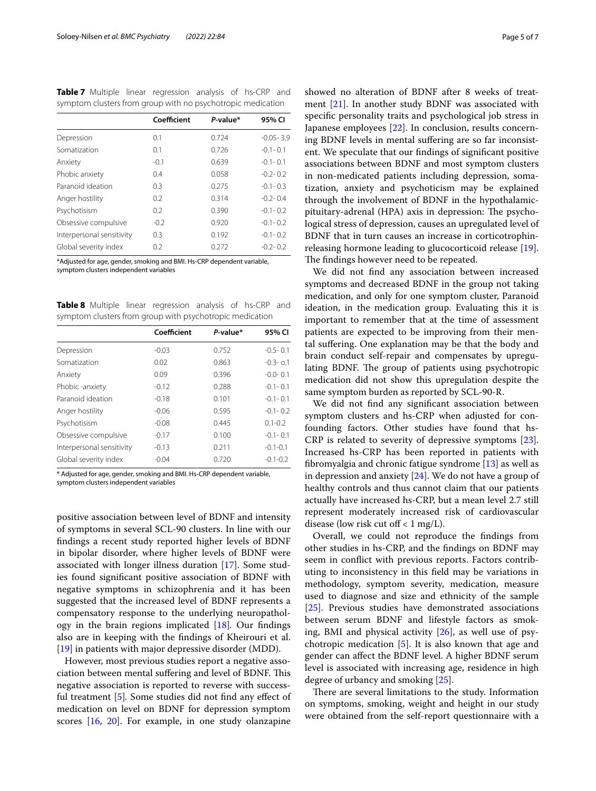<span id="page-4-0"></span>**Table 7** Multiple linear regression analysis of hs-CRP and symptom clusters from group with no psychotropic medication

|                           | Coefficient | P-value* | 95% CI        |
|---------------------------|-------------|----------|---------------|
| Depression                | 0.1         | 0.724    | $-0.05 - 3.9$ |
| Somatization              | 0.1         | 0.726    | $-0.1 - 0.1$  |
| Anxiety                   | $-0.1$      | 0.639    | $-0.1 - 0.1$  |
| Phobic anxiety            | 0.4         | 0.058    | $-0.2 - 0.2$  |
| Paranoid ideation         | 0.3         | 0.275    | $-0.1 - 0.3$  |
| Anger hostility           | 0.2         | 0.314    | $-0.2 - 0.4$  |
| Psychotisism              | 0.2         | 0.390    | $-0.1 - 0.2$  |
| Obsessive compulsive      | $-0.2$      | 0.920    | $-0.1 - 0.2$  |
| Interpersonal sensitivity | 0.3         | 0.192    | $-0.1 - 0.2$  |
| Global severity index     | 0.2         | 0.272    | $-0.2 - 0.2$  |

\*Adjusted for age, gender, smoking and BMI. Hs-CRP dependent variable, symptom clusters independent variables

<span id="page-4-1"></span>**Table 8** Multiple linear regression analysis of hs-CRP and symptom clusters from group with psychotropic medication

|                           | Coefficient | P-value* | 95% CI       |
|---------------------------|-------------|----------|--------------|
| Depression                | $-0.03$     | 0.752    | $-0.5 - 0.1$ |
| Somatization              | 0.02        | 0.863    | $-0.3 - 0.1$ |
| Anxiety                   | 0.09        | 0.396    | $-0.0 - 0.1$ |
| Phobic -anxiety           | $-0.12$     | 0.288    | $-0.1 - 0.1$ |
| Paranoid ideation         | $-0.18$     | 0.101    | $-0.1 - 0.1$ |
| Anger hostility           | $-0.06$     | 0.595    | $-0.1 - 0.2$ |
| Psychotisism              | $-0.08$     | 0.445    | $0.1 - 0.2$  |
| Obsessive compulsive      | $-0.17$     | 0.100    | $-0.1 - 0.1$ |
| Interpersonal sensitivity | $-0.13$     | 0.211    | $-0.1 - 0.1$ |
| Global severity index     | $-0.04$     | 0.720    | $-0.1 - 0.2$ |

\* Adjusted for age, gender, smoking and BMI. Hs-CRP dependent variable, symptom clusters independent variables

positive association between level of BDNF and intensity of symptoms in several SCL-90 clusters. In line with our fndings a recent study reported higher levels of BDNF in bipolar disorder, where higher levels of BDNF were associated with longer illness duration [\[17](#page-6-14)]. Some studies found signifcant positive association of BDNF with negative symptoms in schizophrenia and it has been suggested that the increased level of BDNF represents a compensatory response to the underlying neuropathology in the brain regions implicated [[18\]](#page-6-15)*.* Our fndings also are in keeping with the fndings of Kheirouri et al. [[19\]](#page-6-16) in patients with major depressive disorder (MDD).

However, most previous studies report a negative association between mental suffering and level of BDNF. This negative association is reported to reverse with successful treatment [\[5](#page-6-2)]*.* Some studies did not fnd any efect of medication on level on BDNF for depression symptom scores [\[16,](#page-6-13) [20\]](#page-6-17). For example, in one study olanzapine

showed no alteration of BDNF after 8 weeks of treatment [[21\]](#page-6-18). In another study BDNF was associated with specifc personality traits and psychological job stress in Japanese employees [\[22](#page-6-19)]. In conclusion, results concerning BDNF levels in mental sufering are so far inconsistent. We speculate that our fndings of signifcant positive associations between BDNF and most symptom clusters in non-medicated patients including depression, somatization, anxiety and psychoticism may be explained through the involvement of BDNF in the hypothalamicpituitary-adrenal (HPA) axis in depression: The psychological stress of depression, causes an upregulated level of BDNF that in turn causes an increase in corticotrophinreleasing hormone leading to glucocorticoid release [\[19](#page-6-16)]. The findings however need to be repeated.

We did not fnd any association between increased symptoms and decreased BDNF in the group not taking medication, and only for one symptom cluster, Paranoid ideation, in the medication group. Evaluating this it is important to remember that at the time of assessment patients are expected to be improving from their mental sufering. One explanation may be that the body and brain conduct self-repair and compensates by upregulating BDNF. The group of patients using psychotropic medication did not show this upregulation despite the same symptom burden as reported by SCL-90-R.

We did not fnd any signifcant association between symptom clusters and hs-CRP when adjusted for confounding factors. Other studies have found that hs-CRP is related to severity of depressive symptoms [\[23](#page-6-20)]. Increased hs-CRP has been reported in patients with fbromyalgia and chronic fatigue syndrome [\[13](#page-6-10)] as well as in depression and anxiety [[24\]](#page-6-21). We do not have a group of healthy controls and thus cannot claim that our patients actually have increased hs-CRP, but a mean level 2.7 still represent moderately increased risk of cardiovascular disease (low risk cut of  $f < 1$  mg/L).

Overall, we could not reproduce the fndings from other studies in hs-CRP, and the fndings on BDNF may seem in confict with previous reports. Factors contributing to inconsistency in this feld may be variations in methodology, symptom severity, medication, measure used to diagnose and size and ethnicity of the sample [[25\]](#page-6-22). Previous studies have demonstrated associations between serum BDNF and lifestyle factors as smoking, BMI and physical activity [[26](#page-6-23)], as well use of psychotropic medication [[5\]](#page-6-2). It is also known that age and gender can afect the BDNF level. A higher BDNF serum level is associated with increasing age, residence in high degree of urbancy and smoking [\[25](#page-6-22)].

There are several limitations to the study. Information on symptoms, smoking, weight and height in our study were obtained from the self-report questionnaire with a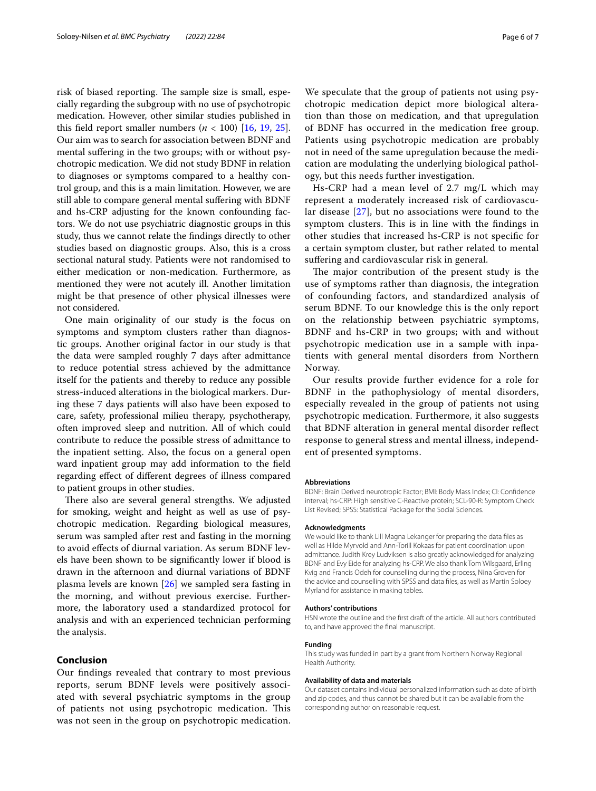risk of biased reporting. The sample size is small, especially regarding the subgroup with no use of psychotropic medication. However, other similar studies published in this field report smaller numbers  $(n < 100)$  [\[16](#page-6-13), [19,](#page-6-16) [25](#page-6-22)]. Our aim was to search for association between BDNF and mental sufering in the two groups; with or without psychotropic medication. We did not study BDNF in relation to diagnoses or symptoms compared to a healthy control group, and this is a main limitation. However, we are still able to compare general mental sufering with BDNF and hs-CRP adjusting for the known confounding factors. We do not use psychiatric diagnostic groups in this study, thus we cannot relate the fndings directly to other studies based on diagnostic groups. Also, this is a cross sectional natural study. Patients were not randomised to either medication or non-medication. Furthermore, as mentioned they were not acutely ill. Another limitation might be that presence of other physical illnesses were not considered.

One main originality of our study is the focus on symptoms and symptom clusters rather than diagnostic groups. Another original factor in our study is that the data were sampled roughly 7 days after admittance to reduce potential stress achieved by the admittance itself for the patients and thereby to reduce any possible stress-induced alterations in the biological markers. During these 7 days patients will also have been exposed to care, safety, professional milieu therapy, psychotherapy, often improved sleep and nutrition. All of which could contribute to reduce the possible stress of admittance to the inpatient setting. Also, the focus on a general open ward inpatient group may add information to the feld regarding efect of diferent degrees of illness compared to patient groups in other studies.

There also are several general strengths. We adjusted for smoking, weight and height as well as use of psychotropic medication. Regarding biological measures, serum was sampled after rest and fasting in the morning to avoid efects of diurnal variation. As serum BDNF levels have been shown to be signifcantly lower if blood is drawn in the afternoon and diurnal variations of BDNF plasma levels are known [\[26](#page-6-23)] we sampled sera fasting in the morning, and without previous exercise. Furthermore, the laboratory used a standardized protocol for analysis and with an experienced technician performing the analysis.

## **Conclusion**

Our fndings revealed that contrary to most previous reports, serum BDNF levels were positively associated with several psychiatric symptoms in the group of patients not using psychotropic medication. This was not seen in the group on psychotropic medication.

We speculate that the group of patients not using psychotropic medication depict more biological alteration than those on medication, and that upregulation of BDNF has occurred in the medication free group. Patients using psychotropic medication are probably not in need of the same upregulation because the medication are modulating the underlying biological pathology, but this needs further investigation.

Hs-CRP had a mean level of 2.7 mg/L which may represent a moderately increased risk of cardiovascular disease [\[27](#page-6-24)], but no associations were found to the symptom clusters. This is in line with the findings in other studies that increased hs-CRP is not specifc for a certain symptom cluster, but rather related to mental sufering and cardiovascular risk in general.

The major contribution of the present study is the use of symptoms rather than diagnosis, the integration of confounding factors, and standardized analysis of serum BDNF. To our knowledge this is the only report on the relationship between psychiatric symptoms, BDNF and hs-CRP in two groups; with and without psychotropic medication use in a sample with inpatients with general mental disorders from Northern Norway.

Our results provide further evidence for a role for BDNF in the pathophysiology of mental disorders, especially revealed in the group of patients not using psychotropic medication. Furthermore, it also suggests that BDNF alteration in general mental disorder refect response to general stress and mental illness, independent of presented symptoms.

#### **Abbreviations**

BDNF: Brain Derived neurotropic Factor; BMI: Body Mass Index; CI: Confdence interval; hs-CRP: High sensitive C-Reactive protein; SCL-90-R: Symptom Check List Revised; SPSS: Statistical Package for the Social Sciences.

#### **Acknowledgments**

We would like to thank Lill Magna Lekanger for preparing the data fles as well as Hilde Myrvold and Ann-Torill Kokaas for patient coordination upon admittance. Judith Krey Ludviksen is also greatly acknowledged for analyzing BDNF and Evy Eide for analyzing hs-CRP. We also thank Tom Wilsgaard, Erling Kvig and Francis Odeh for counselling during the process, Nina Groven for the advice and counselling with SPSS and data fles, as well as Martin Soloey Myrland for assistance in making tables.

#### **Authors' contributions**

HSN wrote the outline and the frst draft of the article. All authors contributed to, and have approved the fnal manuscript.

#### **Funding**

This study was funded in part by a grant from Northern Norway Regional Health Authority.

#### **Availability of data and materials**

Our dataset contains individual personalized information such as date of birth and zip codes, and thus cannot be shared but it can be available from the corresponding author on reasonable request.